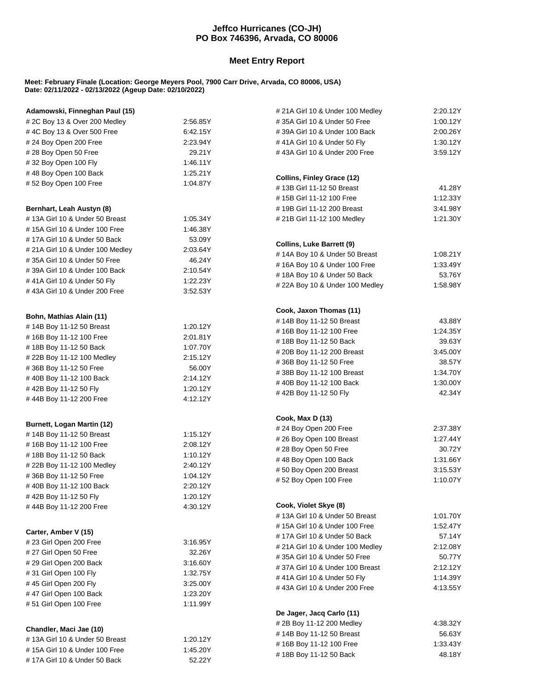## **Jeffco Hurricanes (CO-JH) PO Box 746396, Arvada, CO 80006**

## **Meet Entry Report**

## **Meet: February Finale (Location: George Meyers Pool, 7900 Carr Drive, Arvada, CO 80006, USA) Date: 02/11/2022 - 02/13/2022 (Ageup Date: 02/10/2022)**

| Adamowski, Finneghan Paul (15)                    |                      | # 21A Girl 10 & Under 100 Medley                      | 2:20.12Y           |  |
|---------------------------------------------------|----------------------|-------------------------------------------------------|--------------------|--|
| # 2C Boy 13 & Over 200 Medley<br>2:56.85Y         |                      | #35A Girl 10 & Under 50 Free                          | 1:00.12Y           |  |
| #4C Boy 13 & Over 500 Free                        | 6:42.15Y             | #39A Girl 10 & Under 100 Back<br>2:00.26Y             |                    |  |
| # 24 Boy Open 200 Free                            | 2:23.94Y             | #41A Girl 10 & Under 50 Fly                           |                    |  |
| #28 Boy Open 50 Free                              | 29.21Y               | #43A Girl 10 & Under 200 Free                         | 3:59.12Y           |  |
| #32 Boy Open 100 Fly                              | 1:46.11Y             |                                                       |                    |  |
| #48 Boy Open 100 Back                             | 1:25.21Y             | Collins, Finley Grace (12)                            |                    |  |
| #52 Boy Open 100 Free                             | 1:04.87Y             | #13B Girl 11-12 50 Breast                             | 41.28Y             |  |
|                                                   |                      | #15B Girl 11-12 100 Free                              | 1:12.33Y           |  |
| Bernhart, Leah Austyn (8)                         |                      | #19B Girl 11-12 200 Breast                            | 3:41.98Y           |  |
| #13A Girl 10 & Under 50 Breast                    | 1:05.34Y             | # 21B Girl 11-12 100 Medley                           | 1:21.30Y           |  |
| # 15A Girl 10 & Under 100 Free                    | 1:46.38Y             |                                                       |                    |  |
| #17A Girl 10 & Under 50 Back                      | 53.09Y               |                                                       |                    |  |
| # 21A Girl 10 & Under 100 Medley                  | 2:03.64Y             | <b>Collins, Luke Barrett (9)</b>                      |                    |  |
| #35A Girl 10 & Under 50 Free                      | 46.24Y               | #14A Boy 10 & Under 50 Breast                         | 1:08.21Y           |  |
| #39A Girl 10 & Under 100 Back                     | 2:10.54Y             | #16A Boy 10 & Under 100 Free                          | 1:33.49Y           |  |
| #41A Girl 10 & Under 50 Fly                       | 1:22.23Y             | #18A Boy 10 & Under 50 Back                           | 53.76Y             |  |
| #43A Girl 10 & Under 200 Free                     | 3:52.53Y             | # 22A Boy 10 & Under 100 Medley                       | 1:58.98Y           |  |
|                                                   |                      |                                                       |                    |  |
|                                                   |                      | Cook, Jaxon Thomas (11)                               |                    |  |
| Bohn, Mathias Alain (11)                          | 1:20.12Y             | #14B Boy 11-12 50 Breast                              | 43.88Y             |  |
| #14B Boy 11-12 50 Breast                          |                      | #16B Boy 11-12 100 Free                               | 1:24.35Y           |  |
| #16B Boy 11-12 100 Free<br>#18B Boy 11-12 50 Back | 2:01.81Y             | #18B Boy 11-12 50 Back                                | 39.63Y             |  |
| #22B Boy 11-12 100 Medley                         | 1:07.70Y<br>2:15.12Y | # 20B Boy 11-12 200 Breast                            | 3:45.00Y           |  |
| #36B Boy 11-12 50 Free                            | 56.00Y               | #36B Boy 11-12 50 Free                                | 38.57Y             |  |
| #40B Boy 11-12 100 Back                           | 2:14.12Y             | #38B Boy 11-12 100 Breast                             | 1:34.70Y           |  |
| #42B Boy 11-12 50 Fly                             | 1:20.12Y             | #40B Boy 11-12 100 Back                               | 1:30.00Y           |  |
| #44B Boy 11-12 200 Free                           | 4:12.12Y             | #42B Boy 11-12 50 Fly                                 | 42.34Y             |  |
|                                                   |                      |                                                       |                    |  |
|                                                   |                      | Cook, Max D (13)                                      |                    |  |
| Burnett, Logan Martin (12)                        |                      | # 24 Boy Open 200 Free                                | 2:37.38Y           |  |
| #14B Boy 11-12 50 Breast                          | 1:15.12Y             | #26 Boy Open 100 Breast                               | 1:27.44Y           |  |
| #16B Boy 11-12 100 Free                           | 2:08.12Y             | #28 Boy Open 50 Free                                  | 30.72Y             |  |
| #18B Boy 11-12 50 Back                            | 1:10.12Y             | #48 Boy Open 100 Back                                 | 1:31.66Y           |  |
| # 22B Boy 11-12 100 Medley                        | 2:40.12Y             | #50 Boy Open 200 Breast                               | 3:15.53Y           |  |
| #36B Boy 11-12 50 Free                            | 1:04.12Y<br>2:20.12Y | #52 Boy Open 100 Free                                 |                    |  |
| #40B Boy 11-12 100 Back<br>#42B Boy 11-12 50 Fly  | 1:20.12Y             |                                                       |                    |  |
| #44B Boy 11-12 200 Free                           | 4:30.12Y             | Cook, Violet Skye (8)                                 |                    |  |
|                                                   |                      | #13A Girl 10 & Under 50 Breast                        | 1:01.70Y           |  |
|                                                   |                      | #15A Girl 10 & Under 100 Free                         | 1:52.47Y           |  |
| Carter, Amber V (15)                              |                      | #17A Girl 10 & Under 50 Back                          | 57.14Y             |  |
| #23 Girl Open 200 Free                            | 3:16.95Y             | # 21A Girl 10 & Under 100 Medley                      | 2:12.08Y           |  |
| # 27 Girl Open 50 Free                            | 32.26Y               | #35A Girl 10 & Under 50 Free                          |                    |  |
| # 29 Girl Open 200 Back                           | 3:16.60Y             | 50.77Y<br>#37A Girl 10 & Under 100 Breast<br>2:12.12Y |                    |  |
| #31 Girl Open 100 Fly                             | 1:32.75Y             | #41A Girl 10 & Under 50 Fly                           | 1:14.39Y           |  |
| #45 Girl Open 200 Fly                             | 3:25.00Y             | #43A Girl 10 & Under 200 Free                         | 4:13.55Y           |  |
| #47 Girl Open 100 Back                            | 1:23.20Y             |                                                       |                    |  |
| #51 Girl Open 100 Free                            | 1:11.99Y             |                                                       |                    |  |
|                                                   |                      | De Jager, Jacq Carlo (11)                             |                    |  |
| Chandler, Maci Jae (10)                           |                      | # 2B Boy 11-12 200 Medley                             | 4:38.32Y           |  |
| #13A Girl 10 & Under 50 Breast                    | 1:20.12Y             | #14B Boy 11-12 50 Breast<br>#16B Boy 11-12 100 Free   | 56.63Y<br>1:33.43Y |  |
| #15A Girl 10 & Under 100 Free                     | 1:45.20Y             | #18B Boy 11-12 50 Back                                | 48.18Y             |  |
| #17A Girl 10 & Under 50 Back                      | 52.22Y               |                                                       |                    |  |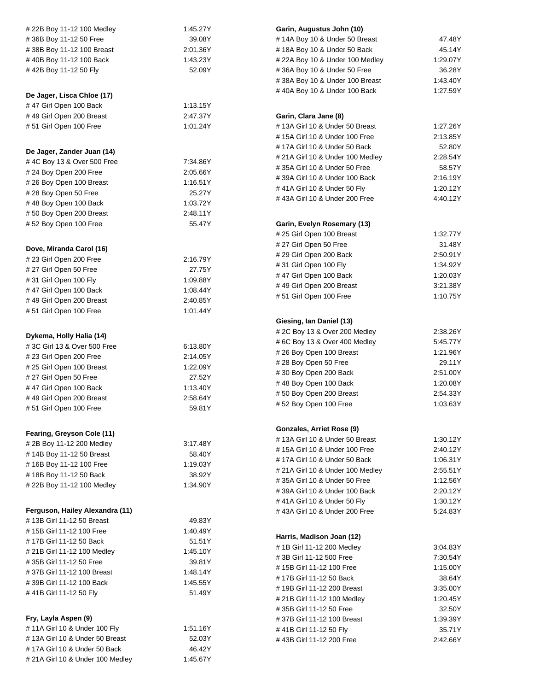| # 22B Boy 11-12 100 Medley       | 1:45.27Y                              | Garin, Augustus John (10)                |          |  |
|----------------------------------|---------------------------------------|------------------------------------------|----------|--|
| #36B Boy 11-12 50 Free           | 39.08Y                                | #14A Boy 10 & Under 50 Breast            | 47.48Y   |  |
| #38B Boy 11-12 100 Breast        | 2:01.36Y                              | #18A Boy 10 & Under 50 Back              | 45.14Y   |  |
| #40B Boy 11-12 100 Back          | 1:43.23Y                              | # 22A Boy 10 & Under 100 Medley          |          |  |
| #42B Boy 11-12 50 Fly            | 52.09Y                                | #36A Boy 10 & Under 50 Free              | 36.28Y   |  |
|                                  |                                       | #38A Boy 10 & Under 100 Breast           | 1:43.40Y |  |
|                                  |                                       | #40A Boy 10 & Under 100 Back             | 1:27.59Y |  |
| De Jager, Lisca Chloe (17)       |                                       |                                          |          |  |
| #47 Girl Open 100 Back           | 1:13.15Y                              |                                          |          |  |
| #49 Girl Open 200 Breast         | 2:47.37Y                              | Garin, Clara Jane (8)                    |          |  |
| #51 Girl Open 100 Free           | 1:01.24Y                              | #13A Girl 10 & Under 50 Breast           | 1:27.26Y |  |
|                                  |                                       | # 15A Girl 10 & Under 100 Free           | 2:13.85Y |  |
| De Jager, Zander Juan (14)       |                                       | #17A Girl 10 & Under 50 Back             | 52.80Y   |  |
| #4C Boy 13 & Over 500 Free       | 7:34.86Y                              | # 21A Girl 10 & Under 100 Medley         | 2:28.54Y |  |
| #24 Boy Open 200 Free            | 2:05.66Y                              | #35A Girl 10 & Under 50 Free             | 58.57Y   |  |
| #26 Boy Open 100 Breast          | 1:16.51Y                              | #39A Girl 10 & Under 100 Back            | 2:16.19Y |  |
| #28 Boy Open 50 Free             | 25.27Y                                | #41A Girl 10 & Under 50 Fly              | 1:20.12Y |  |
| #48 Boy Open 100 Back            | 1:03.72Y                              | #43A Girl 10 & Under 200 Free            | 4:40.12Y |  |
| #50 Boy Open 200 Breast          | 2:48.11Y                              |                                          |          |  |
| #52 Boy Open 100 Free            | 55.47Y                                | Garin, Evelyn Rosemary (13)              |          |  |
|                                  |                                       | # 25 Girl Open 100 Breast                | 1:32.77Y |  |
|                                  |                                       | # 27 Girl Open 50 Free                   | 31.48Y   |  |
| Dove, Miranda Carol (16)         |                                       | # 29 Girl Open 200 Back                  | 2:50.91Y |  |
| #23 Girl Open 200 Free           | 2:16.79Y                              | #31 Girl Open 100 Fly                    | 1:34.92Y |  |
| #27 Girl Open 50 Free            | 27.75Y                                | #47 Girl Open 100 Back                   | 1:20.03Y |  |
| #31 Girl Open 100 Fly            | 1:09.88Y                              | #49 Girl Open 200 Breast                 | 3:21.38Y |  |
| #47 Girl Open 100 Back           | 1:08.44Y                              | #51 Girl Open 100 Free                   | 1:10.75Y |  |
| #49 Girl Open 200 Breast         | 2:40.85Y                              |                                          |          |  |
| #51 Girl Open 100 Free           | 1:01.44Y                              |                                          |          |  |
|                                  |                                       | Giesing, Ian Daniel (13)                 |          |  |
| Dykema, Holly Halia (14)         |                                       | # 2C Boy 13 & Over 200 Medley            | 2:38.26Y |  |
| #3C Girl 13 & Over 500 Free      | 6:13.80Y                              | # 6C Boy 13 & Over 400 Medley            | 5:45.77Y |  |
| # 23 Girl Open 200 Free          | 2:14.05Y                              | #26 Boy Open 100 Breast                  | 1:21.96Y |  |
| # 25 Girl Open 100 Breast        | 1:22.09Y                              | #28 Boy Open 50 Free                     | 29.11Y   |  |
| # 27 Girl Open 50 Free           | 27.52Y                                | #30 Boy Open 200 Back                    | 2:51.00Y |  |
| #47 Girl Open 100 Back           | 1:13.40Y                              | #48 Boy Open 100 Back                    | 1:20.08Y |  |
| #49 Girl Open 200 Breast         | 2:58.64Y                              | #50 Boy Open 200 Breast                  | 2:54.33Y |  |
| #51 Girl Open 100 Free           | 59.81Y                                | #52 Boy Open 100 Free                    | 1:03.63Y |  |
|                                  |                                       |                                          |          |  |
|                                  |                                       | Gonzales, Arriet Rose (9)                |          |  |
| Fearing, Greyson Cole (11)       |                                       | #13A Girl 10 & Under 50 Breast           | 1:30.12Y |  |
| # 2B Boy 11-12 200 Medley        | 3:17.48Y                              | # 15A Girl 10 & Under 100 Free           | 2:40.12Y |  |
| #14B Boy 11-12 50 Breast         | 58.40Y                                | #17A Girl 10 & Under 50 Back             | 1:06.31Y |  |
| #16B Boy 11-12 100 Free          | 1:19.03Y                              | # 21A Girl 10 & Under 100 Medley         | 2:55.51Y |  |
| #18B Boy 11-12 50 Back           | 38.92Y                                | #35A Girl 10 & Under 50 Free<br>1:12.56Y |          |  |
| # 22B Boy 11-12 100 Medley       | 1:34.90Y                              | #39A Girl 10 & Under 100 Back            | 2:20.12Y |  |
|                                  |                                       | #41A Girl 10 & Under 50 Fly              | 1:30.12Y |  |
| Ferguson, Hailey Alexandra (11)  |                                       | #43A Girl 10 & Under 200 Free            | 5:24.83Y |  |
| #13B Girl 11-12 50 Breast        | 49.83Y                                |                                          |          |  |
| #15B Girl 11-12 100 Free         | 1.40.49Y                              |                                          |          |  |
| #17B Girl 11-12 50 Back          | 51.51Y                                | Harris, Madison Joan (12)                |          |  |
| # 21B Girl 11-12 100 Medley      | 1.45.10Y                              | #1B Girl 11-12 200 Medley                | 3:04.83Y |  |
|                                  |                                       | # 3B Girl 11-12 500 Free                 | 7:30.54Y |  |
| #35B Girl 11-12 50 Free          | 39.81Y                                | #15B Girl 11-12 100 Free                 | 1:15.00Y |  |
| #37B Girl 11-12 100 Breast       | 1:48.14Y                              | #17B Girl 11-12 50 Back                  | 38.64Y   |  |
| #39B Girl 11-12 100 Back         | 1:45.55Y                              | #19B Girl 11-12 200 Breast<br>3:35.00Y   |          |  |
| #41B Girl 11-12 50 Fly           | 51.49Y<br># 21B Girl 11-12 100 Medley |                                          | 1:20.45Y |  |
|                                  |                                       | #35B Girl 11-12 50 Free                  | 32.50Y   |  |
| Fry, Layla Aspen (9)             |                                       | #37B Girl 11-12 100 Breast               | 1:39.39Y |  |
| #11A Girl 10 & Under 100 Fly     | 1:51.16Y                              | #41B Girl 11-12 50 Fly                   | 35.71Y   |  |
| #13A Girl 10 & Under 50 Breast   | 52.03Y                                | #43B Girl 11-12 200 Free                 | 2:42.66Y |  |
| #17A Girl 10 & Under 50 Back     | 46.42Y                                |                                          |          |  |
| # 21A Girl 10 & Under 100 Medley | 1:45.67Y                              |                                          |          |  |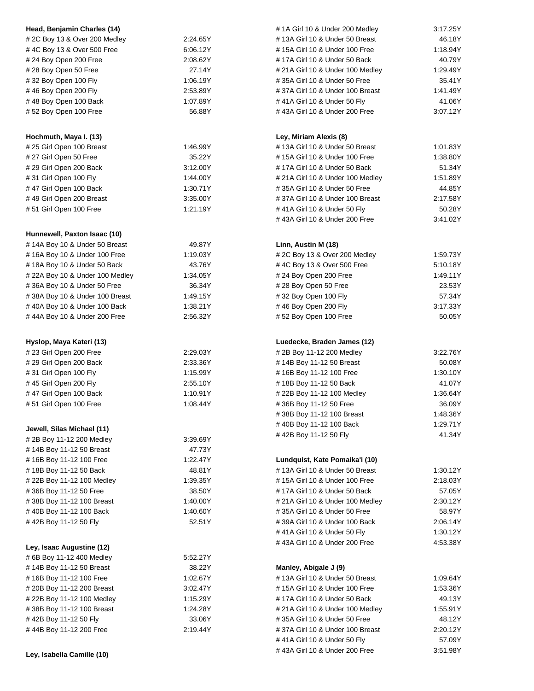| Head, Benjamin Charles (14)        |                                            | # 1A Girl 10 & Under 200 Medley        | 3:17.25Y |  |
|------------------------------------|--------------------------------------------|----------------------------------------|----------|--|
| # 2C Boy 13 & Over 200 Medley      | 2:24.65Y                                   | #13A Girl 10 & Under 50 Breast         | 46.18Y   |  |
| #4C Boy 13 & Over 500 Free         | 6:06.12Y                                   | # 15A Girl 10 & Under 100 Free         | 1:18.94Y |  |
| #24 Boy Open 200 Free              | 2:08.62Y                                   | #17A Girl 10 & Under 50 Back           | 40.79Y   |  |
| #28 Boy Open 50 Free               | 27.14Y                                     | # 21A Girl 10 & Under 100 Medley       | 1:29.49Y |  |
| #32 Boy Open 100 Fly               | 1:06.19Y                                   | #35A Girl 10 & Under 50 Free           | 35.41Y   |  |
| #46 Boy Open 200 Fly               | 2:53.89Y                                   | #37A Girl 10 & Under 100 Breast        | 1:41.49Y |  |
| #48 Boy Open 100 Back              | 1:07.89Y                                   | #41A Girl 10 & Under 50 Fly            | 41.06Y   |  |
| #52 Boy Open 100 Free              | 56.88Y                                     | #43A Girl 10 & Under 200 Free          | 3:07.12Y |  |
|                                    |                                            |                                        |          |  |
| Hochmuth, Maya I. (13)             |                                            | Ley, Miriam Alexis (8)                 |          |  |
| # 25 Girl Open 100 Breast          | 1:46.99Y                                   | #13A Girl 10 & Under 50 Breast         | 1:01.83Y |  |
| #27 Girl Open 50 Free              | 35.22Y                                     | #15A Girl 10 & Under 100 Free          | 1:38.80Y |  |
| # 29 Girl Open 200 Back            | 3:12.00Y                                   | # 17A Girl 10 & Under 50 Back          | 51.34Y   |  |
| #31 Girl Open 100 Fly              | 1:44.00Y                                   | # 21A Girl 10 & Under 100 Medley       | 1:51.89Y |  |
| #47 Girl Open 100 Back             | 1:30.71Y                                   | #35A Girl 10 & Under 50 Free           | 44.85Y   |  |
| #49 Girl Open 200 Breast           | 3:35.00Y                                   | #37A Girl 10 & Under 100 Breast        | 2:17.58Y |  |
| #51 Girl Open 100 Free             | 1:21.19Y                                   | #41A Girl 10 & Under 50 Fly            | 50.28Y   |  |
|                                    |                                            | #43A Girl 10 & Under 200 Free          | 3:41.02Y |  |
| Hunnewell, Paxton Isaac (10)       |                                            |                                        |          |  |
| #14A Boy 10 & Under 50 Breast      | 49.87Y                                     | Linn, Austin M (18)                    |          |  |
| #16A Boy 10 & Under 100 Free       | 1:19.03Y                                   | # 2C Boy 13 & Over 200 Medley          | 1:59.73Y |  |
| #18A Boy 10 & Under 50 Back        | 43.76Y                                     | #4C Boy 13 & Over 500 Free             | 5:10.18Y |  |
| # 22A Boy 10 & Under 100 Medley    | 1:34.05Y                                   | #24 Boy Open 200 Free                  | 1:49.11Y |  |
| #36A Boy 10 & Under 50 Free        | 36.34Y                                     | #28 Boy Open 50 Free                   | 23.53Y   |  |
| #38A Boy 10 & Under 100 Breast     | 1:49.15Y                                   | #32 Boy Open 100 Fly                   | 57.34Y   |  |
| #40A Boy 10 & Under 100 Back       | 1:38.21Y                                   | #46 Boy Open 200 Fly                   | 3:17.33Y |  |
| #44A Boy 10 & Under 200 Free       | 2:56.32Y                                   |                                        |          |  |
|                                    |                                            | #52 Boy Open 100 Free                  | 50.05Y   |  |
| Hyslop, Maya Kateri (13)           |                                            | Luedecke, Braden James (12)            |          |  |
| # 23 Girl Open 200 Free            | 2:29.03Y                                   | # 2B Boy 11-12 200 Medley              | 3:22.76Y |  |
| # 29 Girl Open 200 Back            | 2:33.36Y                                   | #14B Boy 11-12 50 Breast               | 50.08Y   |  |
| #31 Girl Open 100 Fly              | 1:15.99Y                                   | #16B Boy 11-12 100 Free                | 1:30.10Y |  |
| #45 Girl Open 200 Fly              | 2:55.10Y                                   | #18B Boy 11-12 50 Back                 | 41.07Y   |  |
| #47 Girl Open 100 Back             | 1:10.91Y                                   | #22B Boy 11-12 100 Medley              | 1:36.64Y |  |
| #51 Girl Open 100 Free             | 1:08.44Y<br>#36B Boy 11-12 50 Free         |                                        | 36.09Y   |  |
|                                    |                                            | #38B Boy 11-12 100 Breast              |          |  |
|                                    |                                            |                                        | 1:48.36Y |  |
| Jewell, Silas Michael (11)         |                                            | #40B Boy 11-12 100 Back                | 1:29.71Y |  |
| # 2B Boy 11-12 200 Medley          | 3:39.69Y                                   | #42B Boy 11-12 50 Fly                  | 41.34Y   |  |
| #14B Boy 11-12 50 Breast           | 47.73Y                                     |                                        |          |  |
| #16B Boy 11-12 100 Free            | 1:22.47Y                                   | Lundquist, Kate Pomaika'i (10)         |          |  |
| #18B Boy 11-12 50 Back             | 48.81Y                                     | #13A Girl 10 & Under 50 Breast         | 1:30.12Y |  |
| #22B Boy 11-12 100 Medley          | 1:39.35Y                                   | #15A Girl 10 & Under 100 Free          | 2:18.03Y |  |
| #36B Boy 11-12 50 Free             | 38.50Y                                     | #17A Girl 10 & Under 50 Back           | 57.05Y   |  |
| #38B Boy 11-12 100 Breast          | 1:40.00Y                                   | # 21A Girl 10 & Under 100 Medley       | 2:30.12Y |  |
| #40B Boy 11-12 100 Back            | 1:40.60Y                                   | #35A Girl 10 & Under 50 Free           | 58.97Y   |  |
| #42B Boy 11-12 50 Fly              | 52.51Y                                     | #39A Girl 10 & Under 100 Back          | 2:06.14Y |  |
|                                    |                                            | #41A Girl 10 & Under 50 Fly            | 1:30.12Y |  |
|                                    |                                            | #43A Girl 10 & Under 200 Free          | 4:53.38Y |  |
| Ley, Isaac Augustine (12)          |                                            |                                        |          |  |
| # 6B Boy 11-12 400 Medley          | 5:52.27Y                                   |                                        |          |  |
| #14B Boy 11-12 50 Breast<br>38.22Y |                                            | Manley, Abigale J (9)                  |          |  |
| #16B Boy 11-12 100 Free            | #13A Girl 10 & Under 50 Breast<br>1:02.67Y |                                        | 1:09.64Y |  |
| # 20B Boy 11-12 200 Breast         | 3:02.47Y                                   | #15A Girl 10 & Under 100 Free          |          |  |
| #22B Boy 11-12 100 Medley          | 1:15.29Y                                   | #17A Girl 10 & Under 50 Back           | 49.13Y   |  |
| #38B Boy 11-12 100 Breast          | 1:24.28Y                                   | # 21A Girl 10 & Under 100 Medley       | 1:55.91Y |  |
| #42B Boy 11-12 50 Fly              | 33.06Y                                     | #35A Girl 10 & Under 50 Free<br>48.12Y |          |  |
| #44B Boy 11-12 200 Free            | 2:19.44Y                                   | #37A Girl 10 & Under 100 Breast        | 2:20.12Y |  |
|                                    |                                            | #41A Girl 10 & Under 50 Fly            | 57.09Y   |  |
|                                    |                                            | #43A Girl 10 & Under 200 Free          | 3:51.98Y |  |
| Ley, Isabella Camille (10)         |                                            |                                        |          |  |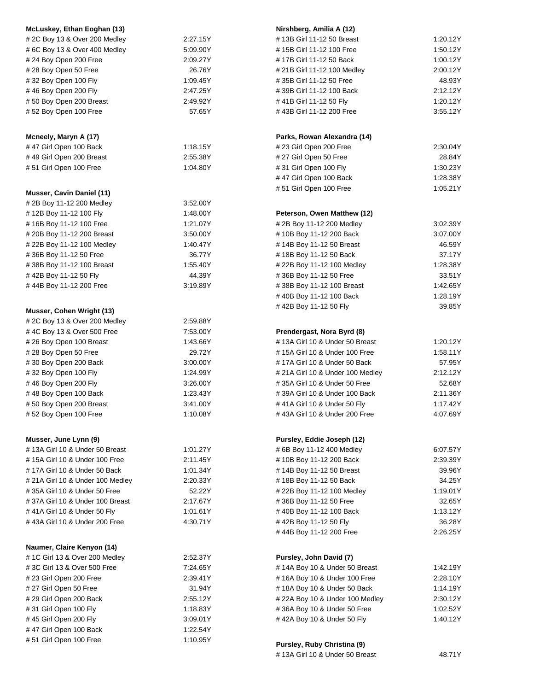| McLuskey, Ethan Eoghan (13)                |          | Nirshberg, Amilia A (12)                          |                      |  |
|--------------------------------------------|----------|---------------------------------------------------|----------------------|--|
| # 2C Boy 13 & Over 200 Medley              | 2:27.15Y | #13B Girl 11-12 50 Breast                         | 1:20.12Y             |  |
| #6C Boy 13 & Over 400 Medley               | 5:09.90Y | #15B Girl 11-12 100 Free                          | 1:50.12Y             |  |
| #24 Boy Open 200 Free                      | 2:09.27Y | #17B Girl 11-12 50 Back                           | 1:00.12Y             |  |
| #28 Boy Open 50 Free                       | 26.76Y   | # 21B Girl 11-12 100 Medley                       | 2:00.12Y             |  |
| #32 Boy Open 100 Fly                       | 1:09.45Y | #35B Girl 11-12 50 Free                           |                      |  |
| #46 Boy Open 200 Fly                       | 2:47.25Y | #39B Girl 11-12 100 Back                          |                      |  |
| #50 Boy Open 200 Breast                    | 2.49.92Y | #41B Girl 11-12 50 Fly                            | 2:12.12Y<br>1:20.12Y |  |
| #52 Boy Open 100 Free                      | 57.65Y   | #43B Girl 11-12 200 Free                          | 3:55.12Y             |  |
|                                            |          |                                                   |                      |  |
| Mcneely, Maryn A (17)                      |          | Parks, Rowan Alexandra (14)                       |                      |  |
| #47 Girl Open 100 Back                     | 1:18.15Y | #23 Girl Open 200 Free                            | 2:30.04Y             |  |
| #49 Girl Open 200 Breast                   | 2:55.38Y | #27 Girl Open 50 Free                             | 28.84Y               |  |
| #51 Girl Open 100 Free                     | 1:04.80Y | #31 Girl Open 100 Fly                             | 1:30.23Y             |  |
|                                            |          | #47 Girl Open 100 Back                            | 1:28.38Y             |  |
|                                            |          | #51 Girl Open 100 Free                            | 1:05.21Y             |  |
| Musser, Cavin Daniel (11)                  |          |                                                   |                      |  |
| # 2B Boy 11-12 200 Medley                  | 3:52.00Y |                                                   |                      |  |
| #12B Boy 11-12 100 Fly                     | 1:48.00Y | Peterson, Owen Matthew (12)                       |                      |  |
| #16B Boy 11-12 100 Free                    | 1:21.07Y | #2B Boy 11-12 200 Medley                          | 3:02.39Y             |  |
| # 20B Boy 11-12 200 Breast                 | 3:50.00Y | #10B Boy 11-12 200 Back                           | 3:07.00Y             |  |
| #22B Boy 11-12 100 Medley                  | 1:40.47Y | #14B Boy 11-12 50 Breast                          | 46.59Y               |  |
| #36B Boy 11-12 50 Free                     | 36.77Y   | #18B Boy 11-12 50 Back                            | 37.17Y               |  |
| #38B Boy 11-12 100 Breast                  | 1:55.40Y | # 22B Boy 11-12 100 Medley                        | 1:28.38Y             |  |
| #42B Boy 11-12 50 Fly                      | 44.39Y   | #36B Boy 11-12 50 Free                            | 33.51Y               |  |
| #44B Boy 11-12 200 Free                    | 3:19.89Y | #38B Boy 11-12 100 Breast                         | 1:42.65Y             |  |
|                                            |          | #40B Boy 11-12 100 Back                           | 1:28.19Y             |  |
| Musser, Cohen Wright (13)                  |          | #42B Boy 11-12 50 Fly                             | 39.85Y               |  |
| # 2C Boy 13 & Over 200 Medley              | 2:59.88Y |                                                   |                      |  |
|                                            |          |                                                   |                      |  |
| #4C Boy 13 & Over 500 Free                 | 7:53.00Y | Prendergast, Nora Byrd (8)                        |                      |  |
| #26 Boy Open 100 Breast                    | 1:43.66Y | #13A Girl 10 & Under 50 Breast                    | 1:20.12Y             |  |
| #28 Boy Open 50 Free                       | 29.72Y   | #15A Girl 10 & Under 100 Free                     | 1:58.11Y             |  |
| #30 Boy Open 200 Back                      | 3:00.00Y | #17A Girl 10 & Under 50 Back                      | 57.95Y               |  |
| #32 Boy Open 100 Fly                       | 1:24.99Y | # 21A Girl 10 & Under 100 Medley                  | 2:12.12Y             |  |
| #46 Boy Open 200 Fly                       | 3:26.00Y | #35A Girl 10 & Under 50 Free                      | 52.68Y               |  |
| #48 Boy Open 100 Back                      | 1:23.43Y | #39A Girl 10 & Under 100 Back                     | 2:11.36Y             |  |
| #50 Boy Open 200 Breast                    | 3:41.00Y | #41A Girl 10 & Under 50 Fly                       | 1:17.42Y             |  |
| #52 Boy Open 100 Free                      | 1:10.08Y | # 43A Girl 10 & Under 200 Free                    | 4:07.69Y             |  |
| Musser, June Lynn (9)                      |          | Pursley, Eddie Joseph (12)                        |                      |  |
| #13A Girl 10 & Under 50 Breast             | 1:01.27Y | # 6B Boy 11-12 400 Medley                         | 6:07.57Y             |  |
| #15A Girl 10 & Under 100 Free              | 2:11.45Y | #10B Boy 11-12 200 Back                           | 2:39.39Y             |  |
| #17A Girl 10 & Under 50 Back               | 1:01.34Y | #14B Boy 11-12 50 Breast                          |                      |  |
| # 21A Girl 10 & Under 100 Medley           | 2:20.33Y | #18B Boy 11-12 50 Back                            |                      |  |
| #35A Girl 10 & Under 50 Free               | 52.22Y   |                                                   |                      |  |
| #37A Girl 10 & Under 100 Breast            | 2:17.67Y | # 22B Boy 11-12 100 Medley<br>1:19.01Y<br>32.65Y  |                      |  |
|                                            |          | #36B Boy 11-12 50 Free<br>#40B Boy 11-12 100 Back |                      |  |
| #41A Girl 10 & Under 50 Fly                | 1:01.61Y |                                                   | 1:13.12Y             |  |
| #43A Girl 10 & Under 200 Free              | 4:30.71Y | #42B Boy 11-12 50 Fly                             | 36.28Y<br>2:26.25Y   |  |
|                                            |          | #44B Boy 11-12 200 Free                           |                      |  |
| Naumer, Claire Kenyon (14)                 |          |                                                   |                      |  |
| # 1C Girl 13 & Over 200 Medley<br>2:52.37Y |          | Pursley, John David (7)                           |                      |  |
| #3C Girl 13 & Over 500 Free                | 7:24.65Y | #14A Boy 10 & Under 50 Breast<br>1:42.19Y         |                      |  |
| #23 Girl Open 200 Free                     | 2:39.41Y | #16A Boy 10 & Under 100 Free                      | 2:28.10Y             |  |
| # 27 Girl Open 50 Free                     | 31.94Y   | #18A Boy 10 & Under 50 Back<br>1:14.19Y           |                      |  |
| # 29 Girl Open 200 Back                    | 2:55.12Y | # 22A Boy 10 & Under 100 Medley                   | 2:30.12Y             |  |
| #31 Girl Open 100 Fly                      | 1:18.83Y | #36A Boy 10 & Under 50 Free                       | 1:02.52Y             |  |
| #45 Girl Open 200 Fly                      | 3:09.01Y | #42A Boy 10 & Under 50 Fly                        | 1:40.12Y             |  |
| #47 Girl Open 100 Back                     | 1:22.54Y |                                                   |                      |  |
| #51 Girl Open 100 Free                     | 1:10.95Y | Pursley, Ruby Christina (9)                       |                      |  |
|                                            |          | #13A Girl 10 & Under 50 Breast                    | 48.71Y               |  |
|                                            |          |                                                   |                      |  |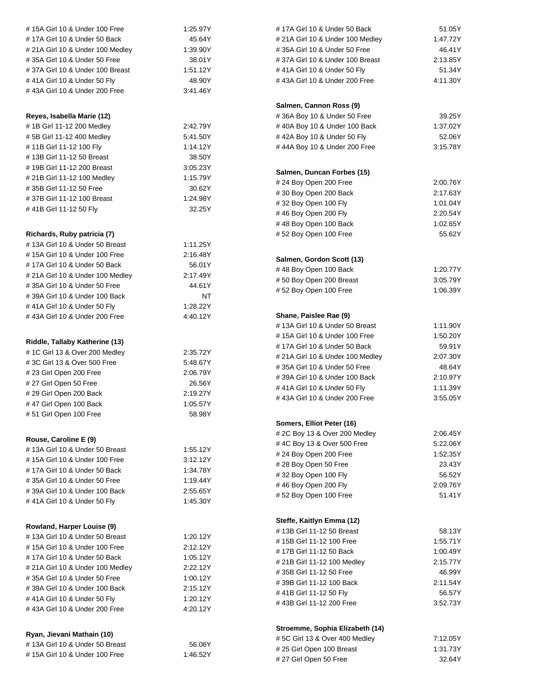| # 15A Girl 10 & Under 100 Free   | 1:25.97Y                                 | #17A Girl 10 & Under 50 Back     | 51.05Y   |
|----------------------------------|------------------------------------------|----------------------------------|----------|
| #17A Girl 10 & Under 50 Back     | 45.64Y                                   | # 21A Girl 10 & Under 100 Medley | 1:47.72Y |
| # 21A Girl 10 & Under 100 Medley | 1:39.90Y                                 | #35A Girl 10 & Under 50 Free     | 46.41Y   |
| #35A Girl 10 & Under 50 Free     | 38.01Y                                   | #37A Girl 10 & Under 100 Breast  | 2:13.85Y |
| #37A Girl 10 & Under 100 Breast  | 1:51.12Y                                 | #41A Girl 10 & Under 50 Fly      | 51.34Y   |
| #41A Girl 10 & Under 50 Fly      | 48.90Y                                   | #43A Girl 10 & Under 200 Free    | 4:11.30Y |
| #43A Girl 10 & Under 200 Free    | 3:41.46Y                                 |                                  |          |
|                                  |                                          | Salmen, Cannon Ross (9)          |          |
| Reyes, Isabella Marie (12)       |                                          | #36A Boy 10 & Under 50 Free      | 39.25Y   |
| #1B Girl 11-12 200 Medley        | 2:42.79Y                                 | #40A Boy 10 & Under 100 Back     | 1:37.02Y |
| #5B Girl 11-12 400 Medley        | 5:41.50Y                                 | #42A Boy 10 & Under 50 Fly       | 52.06Y   |
| #11B Girl 11-12 100 Fly          | 1:14.12Y                                 | #44A Boy 10 & Under 200 Free     | 3:15.78Y |
| #13B Girl 11-12 50 Breast        | 38.50Y                                   |                                  |          |
| #19B Girl 11-12 200 Breast       | 3:05.23Y                                 |                                  |          |
| # 21B Girl 11-12 100 Medley      | 1:15.79Y                                 | Salmen, Duncan Forbes (15)       |          |
| #35B Girl 11-12 50 Free          | 30.62Y                                   | #24 Boy Open 200 Free            | 2:00.76Y |
| #37B Girl 11-12 100 Breast       | 1.24.98Y                                 | #30 Boy Open 200 Back            | 2:17.63Y |
| #41B Girl 11-12 50 Fly           | 32.25Y                                   | #32 Boy Open 100 Fly             | 1:01.04Y |
|                                  |                                          | #46 Boy Open 200 Fly             | 2:20.54Y |
|                                  |                                          | #48 Boy Open 100 Back            | 1:02.65Y |
| Richards, Ruby patricia (7)      |                                          | #52 Boy Open 100 Free            | 55.62Y   |
| #13A Girl 10 & Under 50 Breast   | 1:11.25Y                                 |                                  |          |
| #15A Girl 10 & Under 100 Free    | 2:16.48Y                                 | Salmen, Gordon Scott (13)        |          |
| #17A Girl 10 & Under 50 Back     | 56.01Y                                   | #48 Boy Open 100 Back            | 1:20.77Y |
| # 21A Girl 10 & Under 100 Medley | 2:17.49Y                                 | #50 Boy Open 200 Breast          | 3:05.79Y |
| #35A Girl 10 & Under 50 Free     | 44.61Y                                   | #52 Boy Open 100 Free            | 1:06.39Y |
| #39A Girl 10 & Under 100 Back    | NT                                       |                                  |          |
| # 41A Girl 10 & Under 50 Fly     | 1:28.22Y                                 |                                  |          |
| #43A Girl 10 & Under 200 Free    | 4:40.12Y                                 | Shane, Paislee Rae (9)           |          |
|                                  |                                          | #13A Girl 10 & Under 50 Breast   | 1:11.90Y |
| Riddle, Tallaby Katherine (13)   |                                          | #15A Girl 10 & Under 100 Free    | 1:50.20Y |
| # 1C Girl 13 & Over 200 Medley   | #17A Girl 10 & Under 50 Back<br>2:35.72Y |                                  | 59.91Y   |
| #3C Girl 13 & Over 500 Free      | 5:48.67Y                                 | # 21A Girl 10 & Under 100 Medley | 2:07.30Y |
| #23 Girl Open 200 Free           | 2:06.79Y                                 | #35A Girl 10 & Under 50 Free     | 48.64Y   |
| # 27 Girl Open 50 Free           | 26.56Y                                   | #39A Girl 10 & Under 100 Back    | 2:10.97Y |
| # 29 Girl Open 200 Back          | 2:19.27Y                                 | #41A Girl 10 & Under 50 Fly      | 1:11.39Y |
| #47 Girl Open 100 Back           | 1:05.57Y                                 | #43A Girl 10 & Under 200 Free    | 3:55.05Y |
| #51 Girl Open 100 Free           | 58.98Y                                   |                                  |          |
|                                  |                                          | Somers, Elliot Peter (16)        |          |
|                                  |                                          | # 2C Boy 13 & Over 200 Medley    | 2:06.45Y |
| Rouse, Caroline E (9)            |                                          | #4C Boy 13 & Over 500 Free       | 5:22.06Y |
| #13A Girl 10 & Under 50 Breast   | 1:55.12Y                                 | #24 Boy Open 200 Free            | 1:52.35Y |
| #15A Girl 10 & Under 100 Free    | 3:12.12Y                                 | #28 Boy Open 50 Free             | 23.43Y   |
| #17A Girl 10 & Under 50 Back     | 1:34.78Y                                 | #32 Boy Open 100 Fly             | 56.52Y   |
| #35A Girl 10 & Under 50 Free     | 1:19.44Y                                 | #46 Boy Open 200 Fly             | 2:09.76Y |
| #39A Girl 10 & Under 100 Back    | 2:55.65Y                                 | #52 Boy Open 100 Free            |          |
| #41A Girl 10 & Under 50 Fly      | 1:45.30Y                                 |                                  | 51.41Y   |
|                                  |                                          |                                  |          |
| Rowland, Harper Louise (9)       |                                          | Steffe, Kaitlyn Emma (12)        |          |
| #13A Girl 10 & Under 50 Breast   | 1:20.12Y                                 | #13B Girl 11-12 50 Breast        | 58.13Y   |
| # 15A Girl 10 & Under 100 Free   | 2:12.12Y                                 | #15B Girl 11-12 100 Free         | 1:55.71Y |
| #17A Girl 10 & Under 50 Back     | 1:05.12Y                                 | #17B Girl 11-12 50 Back          | 1:00.49Y |
| # 21A Girl 10 & Under 100 Medley | 2:22.12Y                                 | # 21B Girl 11-12 100 Medley      | 2:15.77Y |
| #35A Girl 10 & Under 50 Free     | 1:00.12Y                                 | #35B Girl 11-12 50 Free          | 46.99Y   |
| #39A Girl 10 & Under 100 Back    | 2:15.12Y                                 | #39B Girl 11-12 100 Back         | 2:11.54Y |
| #41A Girl 10 & Under 50 Fly      | 1:20.12Y                                 | #41B Girl 11-12 50 Fly           | 56.57Y   |
| #43A Girl 10 & Under 200 Free    | 4:20.12Y                                 | #43B Girl 11-12 200 Free         | 3:52.73Y |
|                                  |                                          |                                  |          |
|                                  |                                          | Stroemme, Sophia Elizabeth (14)  |          |
| Ryan, Jievani Mathain (10)       |                                          | #5C Girl 13 & Over 400 Medley    | 7:12.05Y |
| #13A Girl 10 & Under 50 Breast   | 56.06Y<br># 25 Girl Open 100 Breast      |                                  | 1:31.73Y |
| #15A Girl 10 & Under 100 Free    | 1:46.52Y                                 | #27 Girl Open 50 Free            | 32.64Y   |
|                                  |                                          |                                  |          |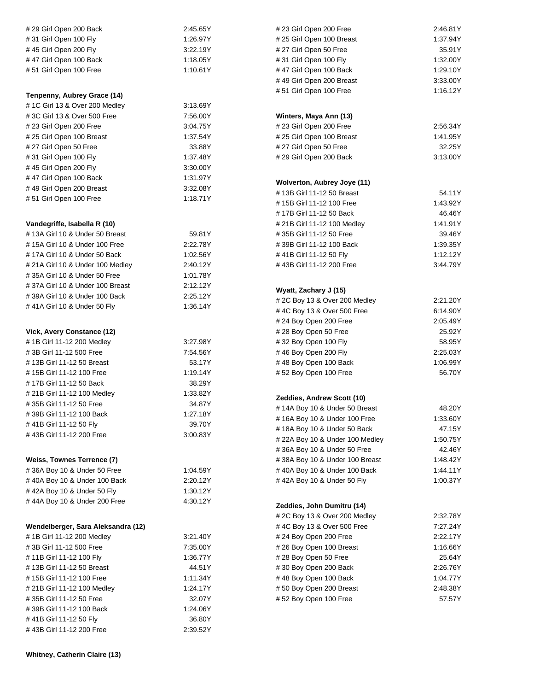| # 29 Girl Open 200 Back                                 | 2:45.65Y             | #23 Girl Open 200 Free                              | 2:46.81Y           |  |
|---------------------------------------------------------|----------------------|-----------------------------------------------------|--------------------|--|
| #31 Girl Open 100 Fly                                   | 1:26.97Y             | # 25 Girl Open 100 Breast                           | 1:37.94Y           |  |
| #45 Girl Open 200 Fly                                   | 3:22.19Y             | # 27 Girl Open 50 Free                              | 35.91Y             |  |
| #47 Girl Open 100 Back                                  | 1:18.05Y             | #31 Girl Open 100 Fly                               | 1:32.00Y           |  |
| #51 Girl Open 100 Free                                  | 1:10.61Y             | #47 Girl Open 100 Back                              | 1:29.10Y           |  |
|                                                         |                      | #49 Girl Open 200 Breast                            | 3:33.00Y           |  |
|                                                         |                      | #51 Girl Open 100 Free                              | 1:16.12Y           |  |
| Tenpenny, Aubrey Grace (14)                             |                      |                                                     |                    |  |
| # 1C Girl 13 & Over 200 Medley                          | 3:13.69Y             |                                                     |                    |  |
| #3C Girl 13 & Over 500 Free                             | 7:56.00Y             | Winters, Maya Ann (13)                              |                    |  |
| #23 Girl Open 200 Free                                  | 3:04.75Y             | #23 Girl Open 200 Free                              | 2:56.34Y           |  |
| # 25 Girl Open 100 Breast                               | 1:37.54Y             | # 25 Girl Open 100 Breast                           | 1:41.95Y           |  |
| # 27 Girl Open 50 Free                                  | 33.88Y               | # 27 Girl Open 50 Free                              | 32.25Y             |  |
| #31 Girl Open 100 Fly                                   | 1:37.48Y             | # 29 Girl Open 200 Back                             | 3:13.00Y           |  |
| #45 Girl Open 200 Fly                                   | 3:30.00Y             |                                                     |                    |  |
| #47 Girl Open 100 Back                                  | 1:31.97Y             | Wolverton, Aubrey Joye (11)                         |                    |  |
| #49 Girl Open 200 Breast                                | 3:32.08Y             | #13B Girl 11-12 50 Breast                           | 54.11Y             |  |
| #51 Girl Open 100 Free                                  | 1:18.71Y             | #15B Girl 11-12 100 Free                            | 1:43.92Y           |  |
|                                                         |                      | #17B Girl 11-12 50 Back                             | 46.46Y             |  |
| Vandegriffe, Isabella R (10)                            |                      | # 21B Girl 11-12 100 Medley                         | 1:41.91Y           |  |
| #13A Girl 10 & Under 50 Breast                          | 59.81Y               | #35B Girl 11-12 50 Free                             | 39.46Y             |  |
| # 15A Girl 10 & Under 100 Free                          | 2:22.78Y             | #39B Girl 11-12 100 Back                            | 1:39.35Y           |  |
| #17A Girl 10 & Under 50 Back                            | 1:02.56Y             | #41B Girl 11-12 50 Fly                              | 1:12.12Y           |  |
| # 21A Girl 10 & Under 100 Medley                        | 2:40.12Y             | #43B Girl 11-12 200 Free                            | 3:44.79Y           |  |
| #35A Girl 10 & Under 50 Free                            | 1:01.78Y             |                                                     |                    |  |
| #37A Girl 10 & Under 100 Breast                         | 2:12.12Y             |                                                     |                    |  |
| #39A Girl 10 & Under 100 Back                           | 2:25.12Y             | Wyatt, Zachary J (15)                               | 2:21.20Y           |  |
| #41A Girl 10 & Under 50 Fly                             | 1:36.14Y             | # 2C Boy 13 & Over 200 Medley                       | 6:14.90Y           |  |
|                                                         |                      | #4C Boy 13 & Over 500 Free<br>#24 Boy Open 200 Free | 2:05.49Y           |  |
|                                                         |                      |                                                     | 25.92Y             |  |
| Vick, Avery Constance (12)<br>#1B Girl 11-12 200 Medley |                      | #28 Boy Open 50 Free<br>#32 Boy Open 100 Fly        |                    |  |
| #3B Girl 11-12 500 Free                                 | 3:27.98Y<br>7:54.56Y | #46 Boy Open 200 Fly                                | 58.95Y<br>2:25.03Y |  |
| #13B Girl 11-12 50 Breast                               | 53.17Y               | #48 Boy Open 100 Back                               | 1:06.99Y           |  |
| #15B Girl 11-12 100 Free                                | 1:19.14Y             | #52 Boy Open 100 Free                               | 56.70Y             |  |
| #17B Girl 11-12 50 Back                                 | 38.29Y               |                                                     |                    |  |
| # 21B Girl 11-12 100 Medley                             | 1:33.82Y             |                                                     |                    |  |
| #35B Girl 11-12 50 Free                                 | 34.87Y               | Zeddies, Andrew Scott (10)                          |                    |  |
| #39B Girl 11-12 100 Back                                | 1:27.18Y             | #14A Boy 10 & Under 50 Breast                       | 48.20Y             |  |
| #41B Girl 11-12 50 Fly                                  | 39.70Y               | #16A Boy 10 & Under 100 Free                        | 1:33.60Y<br>47.15Y |  |
| #43B Girl 11-12 200 Free                                | 3:00.83Y             | #18A Boy 10 & Under 50 Back                         |                    |  |
|                                                         |                      | # 22A Boy 10 & Under 100 Medley                     | 1:50.75Y           |  |
|                                                         |                      | #36A Boy 10 & Under 50 Free                         | 42.46Y             |  |
| Weiss, Townes Terrence (7)                              |                      | #38A Boy 10 & Under 100 Breast                      | 1:48.42Y           |  |
| #36A Boy 10 & Under 50 Free                             | 1:04.59Y             | #40A Boy 10 & Under 100 Back                        | 1:44.11Y           |  |
| #40A Boy 10 & Under 100 Back                            | 2:20.12Y             | #42A Boy 10 & Under 50 Fly                          | 1:00.37Y           |  |
| #42A Boy 10 & Under 50 Fly                              | 1:30.12Y             |                                                     |                    |  |
| #44A Boy 10 & Under 200 Free                            | 4:30.12Y             | Zeddies, John Dumitru (14)                          |                    |  |
|                                                         |                      | # 2C Boy 13 & Over 200 Medley                       | 2:32.78Y           |  |
| Wendelberger, Sara Aleksandra (12)                      |                      | #4C Boy 13 & Over 500 Free                          | 7:27.24Y           |  |
| #1B Girl 11-12 200 Medley                               | 3:21.40Y             | #24 Boy Open 200 Free                               | 2:22.17Y           |  |
| #3B Girl 11-12 500 Free                                 | 7:35.00Y             | #26 Boy Open 100 Breast                             | 1:16.66Y           |  |
| #11B Girl 11-12 100 Fly                                 | 1:36.77Y             | #28 Boy Open 50 Free                                | 25.64Y             |  |
| #13B Girl 11-12 50 Breast                               | 44.51Y               | #30 Boy Open 200 Back                               |                    |  |
| #15B Girl 11-12 100 Free                                | 1:11.34Y             | 2:26.76Y<br>#48 Boy Open 100 Back<br>1:04.77Y       |                    |  |
| # 21B Girl 11-12 100 Medley                             | 1:24.17Y             | #50 Boy Open 200 Breast                             | 2:48.38Y           |  |
| #35B Girl 11-12 50 Free                                 | 32.07Y               | #52 Boy Open 100 Free                               | 57.57Y             |  |
| #39B Girl 11-12 100 Back                                | 1:24.06Y             |                                                     |                    |  |
| #41B Girl 11-12 50 Fly                                  | 36.80Y               |                                                     |                    |  |
| #43B Girl 11-12 200 Free                                | 2:39.52Y             |                                                     |                    |  |
|                                                         |                      |                                                     |                    |  |